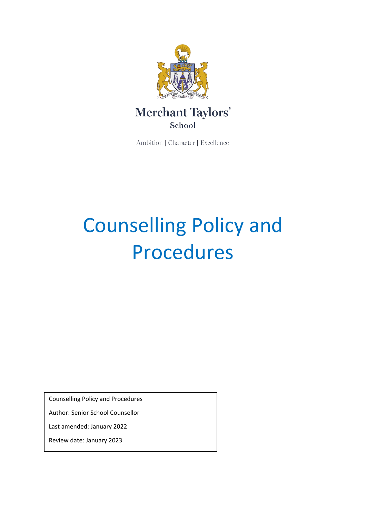

# Merchant Taylors' School

Ambition | Character | Excellence

# Counselling Policy and Procedures

Counselling Policy and Procedures

Author: Senior School Counsellor

Last amended: January 2022

Review date: January 2023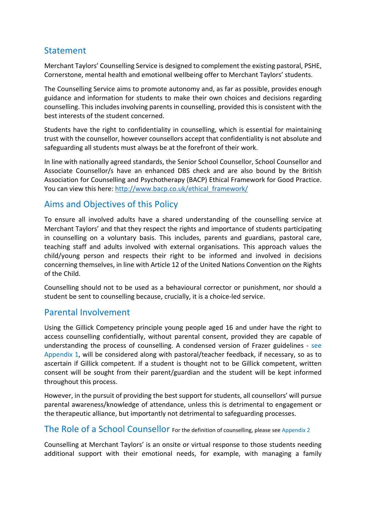# **Statement**

Merchant Taylors' Counselling Service is designed to complement the existing pastoral, PSHE, Cornerstone, mental health and emotional wellbeing offer to Merchant Taylors' students.

The Counselling Service aims to promote autonomy and, as far as possible, provides enough guidance and information for students to make their own choices and decisions regarding counselling. This includes involving parents in counselling, provided this is consistent with the best interests of the student concerned.

Students have the right to confidentiality in counselling, which is essential for maintaining trust with the counsellor, however counsellors accept that confidentiality is not absolute and safeguarding all students must always be at the forefront of their work.

In line with nationally agreed standards, the Senior School Counsellor, School Counsellor and Associate Counsellor/s have an enhanced DBS check and are also bound by the British Association for Counselling and Psychotherapy (BACP) Ethical Framework for Good Practice. You can view this here: [http://www.bacp.co.uk/ethical\\_framework/](http://www.bacp.co.uk/ethical_framework/)

# Aims and Objectives of this Policy

To ensure all involved adults have a shared understanding of the counselling service at Merchant Taylors' and that they respect the rights and importance of students participating in counselling on a voluntary basis. This includes, parents and guardians, pastoral care, teaching staff and adults involved with external organisations. This approach values the child/young person and respects their right to be informed and involved in decisions concerning themselves, in line with Article 12 of the United Nations Convention on the Rights of the Child.

Counselling should not to be used as a behavioural corrector or punishment, nor should a student be sent to counselling because, crucially, it is a choice-led service.

# Parental Involvement

Using the Gillick Competency principle young people aged 16 and under have the right to access counselling confidentially, without parental consent, provided they are capable of understanding the process of counselling. A condensed version of Frazer guidelines - see Appendix 1, will be considered along with pastoral/teacher feedback, if necessary, so as to ascertain if Gillick competent. If a student is thought not to be Gillick competent, written consent will be sought from their parent/guardian and the student will be kept informed throughout this process.

However, in the pursuit of providing the best support for students, all counsellors' will pursue parental awareness/knowledge of attendance, unless this is detrimental to engagement or the therapeutic alliance, but importantly not detrimental to safeguarding processes.

# The Role of a School Counsellor For the definition of counselling, please see Appendix 2

Counselling at Merchant Taylors' is an onsite or virtual response to those students needing additional support with their emotional needs, for example, with managing a family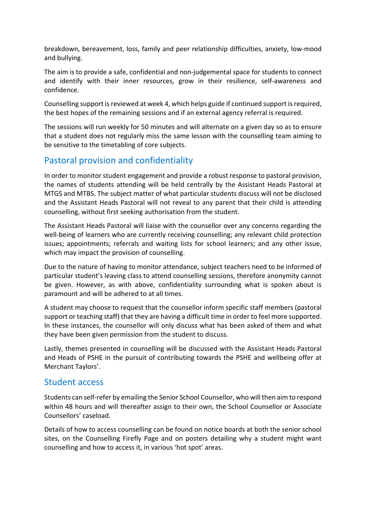breakdown, bereavement, loss, family and peer relationship difficulties, anxiety, low-mood and bullying.

The aim is to provide a safe, confidential and non-judgemental space for students to connect and identify with their inner resources, grow in their resilience, self-awareness and confidence.

Counselling support is reviewed at week 4, which helps guide if continued support is required, the best hopes of the remaining sessions and if an external agency referral is required.

The sessions will run weekly for 50 minutes and will alternate on a given day so as to ensure that a student does not regularly miss the same lesson with the counselling team aiming to be sensitive to the timetabling of core subjects.

# Pastoral provision and confidentiality

In order to monitor student engagement and provide a robust response to pastoral provision, the names of students attending will be held centrally by the Assistant Heads Pastoral at MTGS and MTBS. The subject matter of what particular students discuss will not be disclosed and the Assistant Heads Pastoral will not reveal to any parent that their child is attending counselling, without first seeking authorisation from the student.

The Assistant Heads Pastoral will liaise with the counsellor over any concerns regarding the well-being of learners who are currently receiving counselling; any relevant child protection issues; appointments; referrals and waiting lists for school learners; and any other issue, which may impact the provision of counselling.

Due to the nature of having to monitor attendance, subject teachers need to be informed of particular student's leaving class to attend counselling sessions, therefore anonymity cannot be given. However, as with above, confidentiality surrounding what is spoken about is paramount and will be adhered to at all times.

A student may choose to request that the counsellor inform specific staff members (pastoral support or teaching staff) that they are having a difficult time in order to feel more supported. In these instances, the counsellor will only discuss what has been asked of them and what they have been given permission from the student to discuss.

Lastly, themes presented in counselling will be discussed with the Assistant Heads Pastoral and Heads of PSHE in the pursuit of contributing towards the PSHE and wellbeing offer at Merchant Taylors'.

# Student access

Students can self-refer by emailing the Senior School Counsellor, who will then aim to respond within 48 hours and will thereafter assign to their own, the School Counsellor or Associate Counsellors' caseload.

Details of how to access counselling can be found on notice boards at both the senior school sites, on the Counselling Firefly Page and on posters detailing why a student might want counselling and how to access it, in various 'hot spot' areas.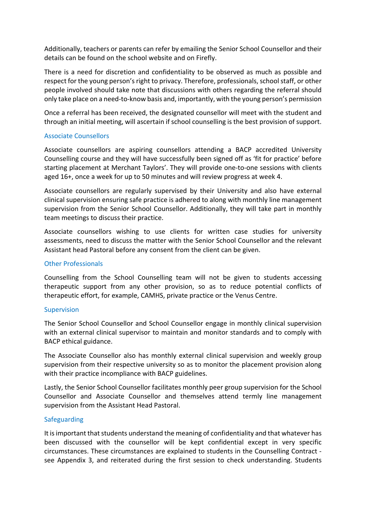Additionally, teachers or parents can refer by emailing the Senior School Counsellor and their details can be found on the school website and on Firefly.

There is a need for discretion and confidentiality to be observed as much as possible and respect for the young person's right to privacy. Therefore, professionals, school staff, or other people involved should take note that discussions with others regarding the referral should only take place on a need-to-know basis and, importantly, with the young person's permission

Once a referral has been received, the designated counsellor will meet with the student and through an initial meeting, will ascertain if school counselling is the best provision of support.

## Associate Counsellors

Associate counsellors are aspiring counsellors attending a BACP accredited University Counselling course and they will have successfully been signed off as 'fit for practice' before starting placement at Merchant Taylors'. They will provide one-to-one sessions with clients aged 16+, once a week for up to 50 minutes and will review progress at week 4.

Associate counsellors are regularly supervised by their University and also have external clinical supervision ensuring safe practice is adhered to along with monthly line management supervision from the Senior School Counsellor. Additionally, they will take part in monthly team meetings to discuss their practice.

Associate counsellors wishing to use clients for written case studies for university assessments, need to discuss the matter with the Senior School Counsellor and the relevant Assistant head Pastoral before any consent from the client can be given.

## Other Professionals

Counselling from the School Counselling team will not be given to students accessing therapeutic support from any other provision, so as to reduce potential conflicts of therapeutic effort, for example, CAMHS, private practice or the Venus Centre.

## Supervision

The Senior School Counsellor and School Counsellor engage in monthly clinical supervision with an external clinical supervisor to maintain and monitor standards and to comply with BACP ethical guidance.

The Associate Counsellor also has monthly external clinical supervision and weekly group supervision from their respective university so as to monitor the placement provision along with their practice incompliance with BACP guidelines.

Lastly, the Senior School Counsellor facilitates monthly peer group supervision for the School Counsellor and Associate Counsellor and themselves attend termly line management supervision from the Assistant Head Pastoral.

## Safeguarding

It is important that students understand the meaning of confidentiality and that whatever has been discussed with the counsellor will be kept confidential except in very specific circumstances. These circumstances are explained to students in the Counselling Contract see Appendix 3, and reiterated during the first session to check understanding. Students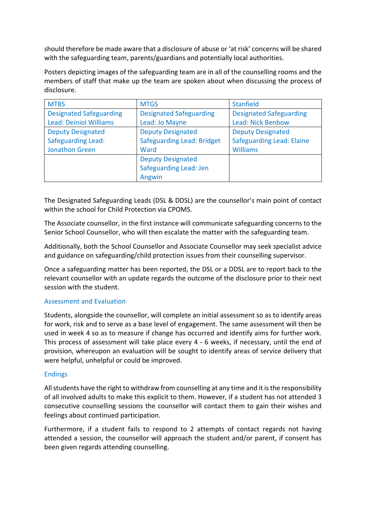should therefore be made aware that a disclosure of abuse or 'at risk' concerns will be shared with the safeguarding team, parents/guardians and potentially local authorities.

Posters depicting images of the safeguarding team are in all of the counselling rooms and the members of staff that make up the team are spoken about when discussing the process of disclosure.

| <b>MTBS</b>                    | <b>MTGS</b>                       | <b>Stanfield</b>                 |
|--------------------------------|-----------------------------------|----------------------------------|
| <b>Designated Safeguarding</b> | <b>Designated Safeguarding</b>    | <b>Designated Safeguarding</b>   |
| <b>Lead: Deiniol Williams</b>  | Lead: Jo Mayne                    | <b>Lead: Nick Benbow</b>         |
| <b>Deputy Designated</b>       | <b>Deputy Designated</b>          | <b>Deputy Designated</b>         |
| <b>Safeguarding Lead:</b>      | <b>Safeguarding Lead: Bridget</b> | <b>Safeguarding Lead: Elaine</b> |
| <b>Jonathon Green</b>          | Ward                              | <b>Williams</b>                  |
|                                | <b>Deputy Designated</b>          |                                  |
|                                | Safeguarding Lead: Jen            |                                  |
|                                | Angwin                            |                                  |

The Designated Safeguarding Leads (DSL & DDSL) are the counsellor's main point of contact within the school for Child Protection via CPOMS.

The Associate counsellor, in the first instance will communicate safeguarding concerns to the Senior School Counsellor, who will then escalate the matter with the safeguarding team.

Additionally, both the School Counsellor and Associate Counsellor may seek specialist advice and guidance on safeguarding/child protection issues from their counselling supervisor.

Once a safeguarding matter has been reported, the DSL or a DDSL are to report back to the relevant counsellor with an update regards the outcome of the disclosure prior to their next session with the student.

## Assessment and Evaluation

Students, alongside the counsellor, will complete an initial assessment so as to identify areas for work, risk and to serve as a base level of engagement. The same assessment will then be used in week 4 so as to measure if change has occurred and identify aims for further work. This process of assessment will take place every 4 - 6 weeks, if necessary, until the end of provision, whereupon an evaluation will be sought to identify areas of service delivery that were helpful, unhelpful or could be improved.

## Endings

All students have the right to withdraw from counselling at any time and it is the responsibility of all involved adults to make this explicit to them. However, if a student has not attended 3 consecutive counselling sessions the counsellor will contact them to gain their wishes and feelings about continued participation.

Furthermore, if a student fails to respond to 2 attempts of contact regards not having attended a session, the counsellor will approach the student and/or parent, if consent has been given regards attending counselling.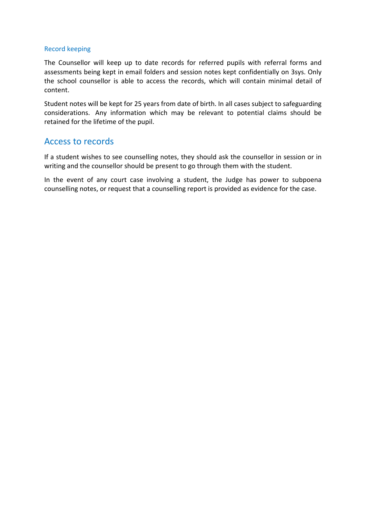#### Record keeping

The Counsellor will keep up to date records for referred pupils with referral forms and assessments being kept in email folders and session notes kept confidentially on 3sys. Only the school counsellor is able to access the records, which will contain minimal detail of content.

Student notes will be kept for 25 years from date of birth. In all cases subject to safeguarding considerations. Any information which may be relevant to potential claims should be retained for the lifetime of the pupil.

# Access to records

If a student wishes to see counselling notes, they should ask the counsellor in session or in writing and the counsellor should be present to go through them with the student.

In the event of any court case involving a student, the Judge has power to subpoena counselling notes, or request that a counselling report is provided as evidence for the case.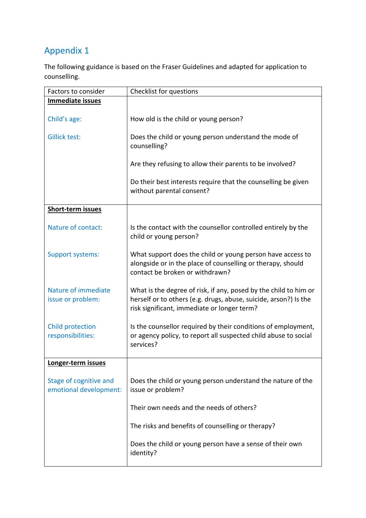# Appendix 1

The following guidance is based on the Fraser Guidelines and adapted for application to counselling.

| Factors to consider                              | Checklist for questions                                                                                                                                                             |  |
|--------------------------------------------------|-------------------------------------------------------------------------------------------------------------------------------------------------------------------------------------|--|
| <b>Immediate issues</b>                          |                                                                                                                                                                                     |  |
| Child's age:                                     | How old is the child or young person?                                                                                                                                               |  |
| <b>Gillick test:</b>                             | Does the child or young person understand the mode of<br>counselling?                                                                                                               |  |
|                                                  | Are they refusing to allow their parents to be involved?                                                                                                                            |  |
|                                                  | Do their best interests require that the counselling be given<br>without parental consent?                                                                                          |  |
| <b>Short-term issues</b>                         |                                                                                                                                                                                     |  |
| Nature of contact:                               | Is the contact with the counsellor controlled entirely by the<br>child or young person?                                                                                             |  |
| <b>Support systems:</b>                          | What support does the child or young person have access to<br>alongside or in the place of counselling or therapy, should<br>contact be broken or withdrawn?                        |  |
| Nature of immediate<br>issue or problem:         | What is the degree of risk, if any, posed by the child to him or<br>herself or to others (e.g. drugs, abuse, suicide, arson?) Is the<br>risk significant, immediate or longer term? |  |
| <b>Child protection</b><br>responsibilities:     | Is the counsellor required by their conditions of employment,<br>or agency policy, to report all suspected child abuse to social<br>services?                                       |  |
| Longer-term issues                               |                                                                                                                                                                                     |  |
| Stage of cognitive and<br>emotional development: | Does the child or young person understand the nature of the<br>issue or problem?                                                                                                    |  |
|                                                  | Their own needs and the needs of others?                                                                                                                                            |  |
|                                                  | The risks and benefits of counselling or therapy?                                                                                                                                   |  |
|                                                  | Does the child or young person have a sense of their own<br>identity?                                                                                                               |  |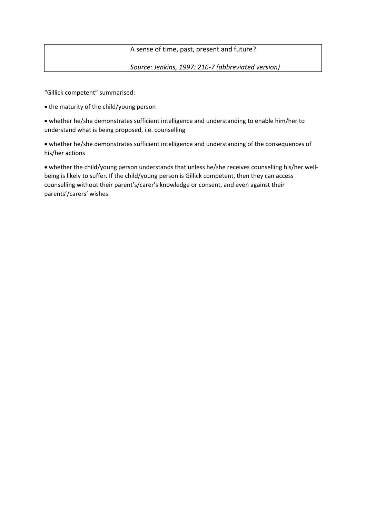| A sense of time, past, present and future?         |
|----------------------------------------------------|
| Source: Jenkins, 1997: 216-7 (abbreviated version) |

"Gillick competent" summarised:

• the maturity of the child/young person

• whether he/she demonstrates sufficient intelligence and understanding to enable him/her to understand what is being proposed, i.e. counselling

• whether he/she demonstrates sufficient intelligence and understanding of the consequences of his/her actions

• whether the child/young person understands that unless he/she receives counselling his/her wellbeing is likely to suffer. If the child/young person is Gillick competent, then they can access counselling without their parent's/carer's knowledge or consent, and even against their parents'/carers' wishes.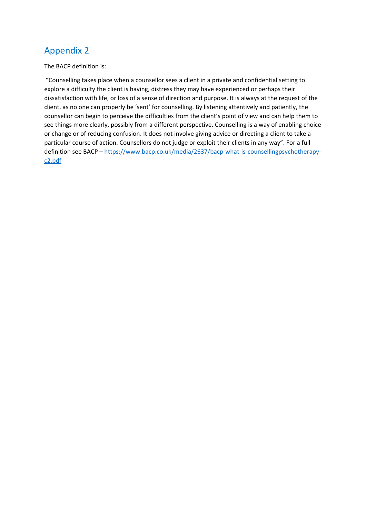# Appendix 2

The BACP definition is:

"Counselling takes place when a counsellor sees a client in a private and confidential setting to explore a difficulty the client is having, distress they may have experienced or perhaps their dissatisfaction with life, or loss of a sense of direction and purpose. It is always at the request of the client, as no one can properly be 'sent' for counselling. By listening attentively and patiently, the counsellor can begin to perceive the difficulties from the client's point of view and can help them to see things more clearly, possibly from a different perspective. Counselling is a way of enabling choice or change or of reducing confusion. It does not involve giving advice or directing a client to take a particular course of action. Counsellors do not judge or exploit their clients in any way". For a full definition see BACP – [https://www.bacp.co.uk/media/2637/bacp-what-is-counsellingpsychotherapy](https://www.bacp.co.uk/media/2637/bacp-what-is-counsellingpsychotherapy-c2.pdf)[c2.pdf](https://www.bacp.co.uk/media/2637/bacp-what-is-counsellingpsychotherapy-c2.pdf)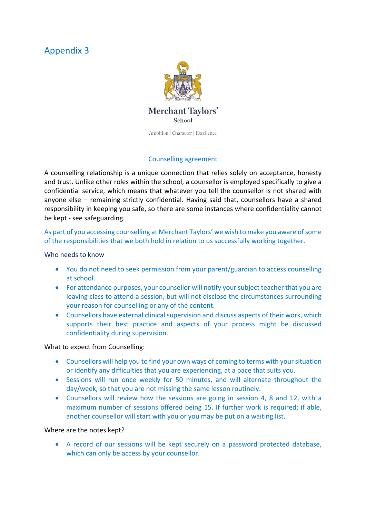# Appendix 3



# Counselling agreement

A counselling relationship is a unique connection that relies solely on acceptance, honesty and trust. Unlike other roles within the school, a counsellor is employed specifically to give a confidential service, which means that whatever you tell the counsellor is not shared with anyone else – remaining strictly confidential. Having said that, counsellors have a shared responsibility in keeping you safe, so there are some instances where confidentiality cannot be kept - see safeguarding.

# As part of you accessing counselling at Merchant Taylors' we wish to make you aware of some of the responsibilities that we both hold in relation to us successfully working together.

# Who needs to know

- You do not need to seek permission from your parent/guardian to access counselling at school.
- For attendance purposes, your counsellor will notify your subject teacher that you are leaving class to attend a session, but will not disclose the circumstances surrounding your reason for counselling or any of the content.
- Counsellors have external clinical supervision and discuss aspects of their work, which supports their best practice and aspects of your process might be discussed confidentiality during supervision.

## What to expect from Counselling:

- Counsellors will help you to find your own ways of coming to terms with your situation or identify any difficulties that you are experiencing, at a pace that suits you.
- Sessions will run once weekly for 50 minutes, and will alternate throughout the day/week, so that you are not missing the same lesson routinely.
- Counsellors will review how the sessions are going in session 4, 8 and 12, with a maximum number of sessions offered being 15. If further work is required; if able, another counsellor will start with you or you may be put on a waiting list.

## Where are the notes kept?

• A record of our sessions will be kept securely on a password protected database, which can only be access by your counsellor.